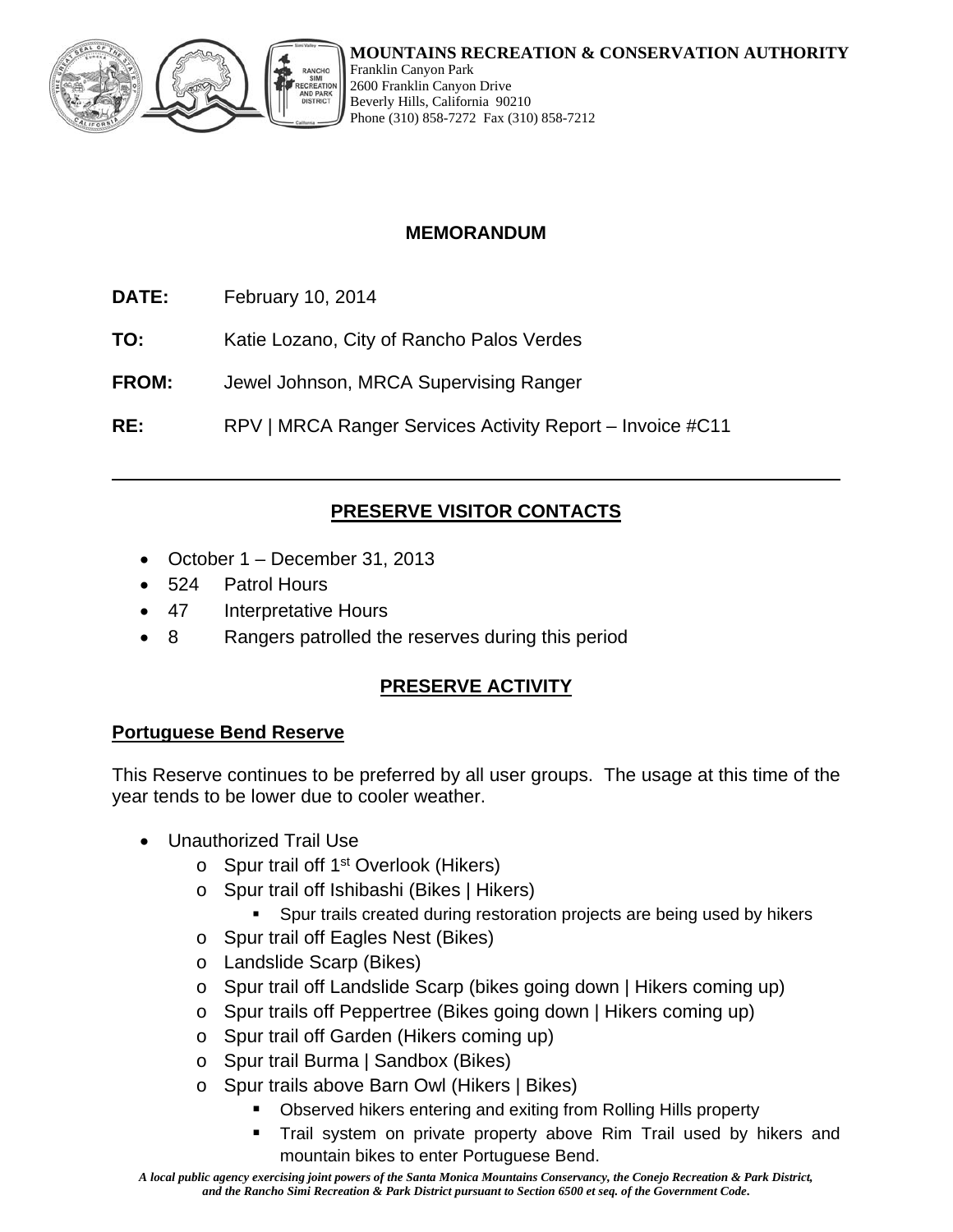

Franklin Canyon Park 2600 Franklin Canyon Drive Beverly Hills, California 90210 Phone (310) 858-7272 Fax (310) 858-7212

### **MEMORANDUM**

- **DATE:** February 10, 2014
- **TO:** Katie Lozano, City of Rancho Palos Verdes
- **FROM:** Jewel Johnson, MRCA Supervising Ranger

**RE:** RPV | MRCA Ranger Services Activity Report – Invoice #C11

# **PRESERVE VISITOR CONTACTS**

- October 1 December 31, 2013
- 524 Patrol Hours
- 47 Interpretative Hours
- 8 Rangers patrolled the reserves during this period

# **PRESERVE ACTIVITY**

### **Portuguese Bend Reserve**

This Reserve continues to be preferred by all user groups. The usage at this time of the year tends to be lower due to cooler weather.

- Unauthorized Trail Use
	- $\circ$  Spur trail off 1<sup>st</sup> Overlook (Hikers)
	- o Spur trail off Ishibashi (Bikes | Hikers)
		- Spur trails created during restoration projects are being used by hikers
	- o Spur trail off Eagles Nest (Bikes)
	- o Landslide Scarp (Bikes)
	- o Spur trail off Landslide Scarp (bikes going down | Hikers coming up)
	- o Spur trails off Peppertree (Bikes going down | Hikers coming up)
	- o Spur trail off Garden (Hikers coming up)
	- o Spur trail Burma | Sandbox (Bikes)
	- o Spur trails above Barn Owl (Hikers | Bikes)
		- Observed hikers entering and exiting from Rolling Hills property
		- Trail system on private property above Rim Trail used by hikers and mountain bikes to enter Portuguese Bend.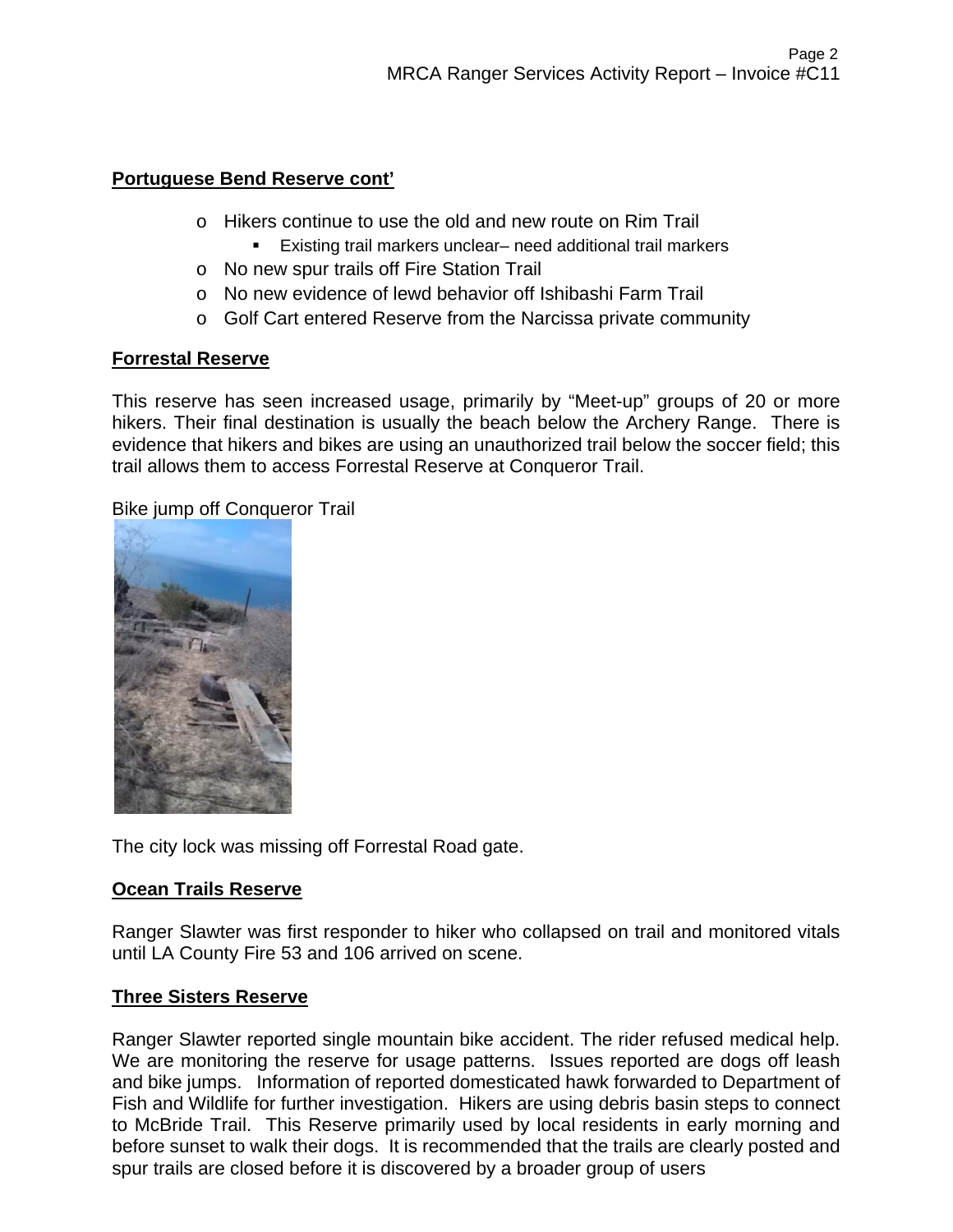### **Portuguese Bend Reserve cont'**

- o Hikers continue to use the old and new route on Rim Trail
	- Existing trail markers unclear– need additional trail markers
- o No new spur trails off Fire Station Trail
- o No new evidence of lewd behavior off Ishibashi Farm Trail
- o Golf Cart entered Reserve from the Narcissa private community

### **Forrestal Reserve**

This reserve has seen increased usage, primarily by "Meet-up" groups of 20 or more hikers. Their final destination is usually the beach below the Archery Range. There is evidence that hikers and bikes are using an unauthorized trail below the soccer field; this trail allows them to access Forrestal Reserve at Conqueror Trail.

Bike jump off Conqueror Trail



The city lock was missing off Forrestal Road gate.

# **Ocean Trails Reserve**

Ranger Slawter was first responder to hiker who collapsed on trail and monitored vitals until LA County Fire 53 and 106 arrived on scene.

### **Three Sisters Reserve**

Ranger Slawter reported single mountain bike accident. The rider refused medical help. We are monitoring the reserve for usage patterns. Issues reported are dogs off leash and bike jumps. Information of reported domesticated hawk forwarded to Department of Fish and Wildlife for further investigation. Hikers are using debris basin steps to connect to McBride Trail. This Reserve primarily used by local residents in early morning and before sunset to walk their dogs. It is recommended that the trails are clearly posted and spur trails are closed before it is discovered by a broader group of users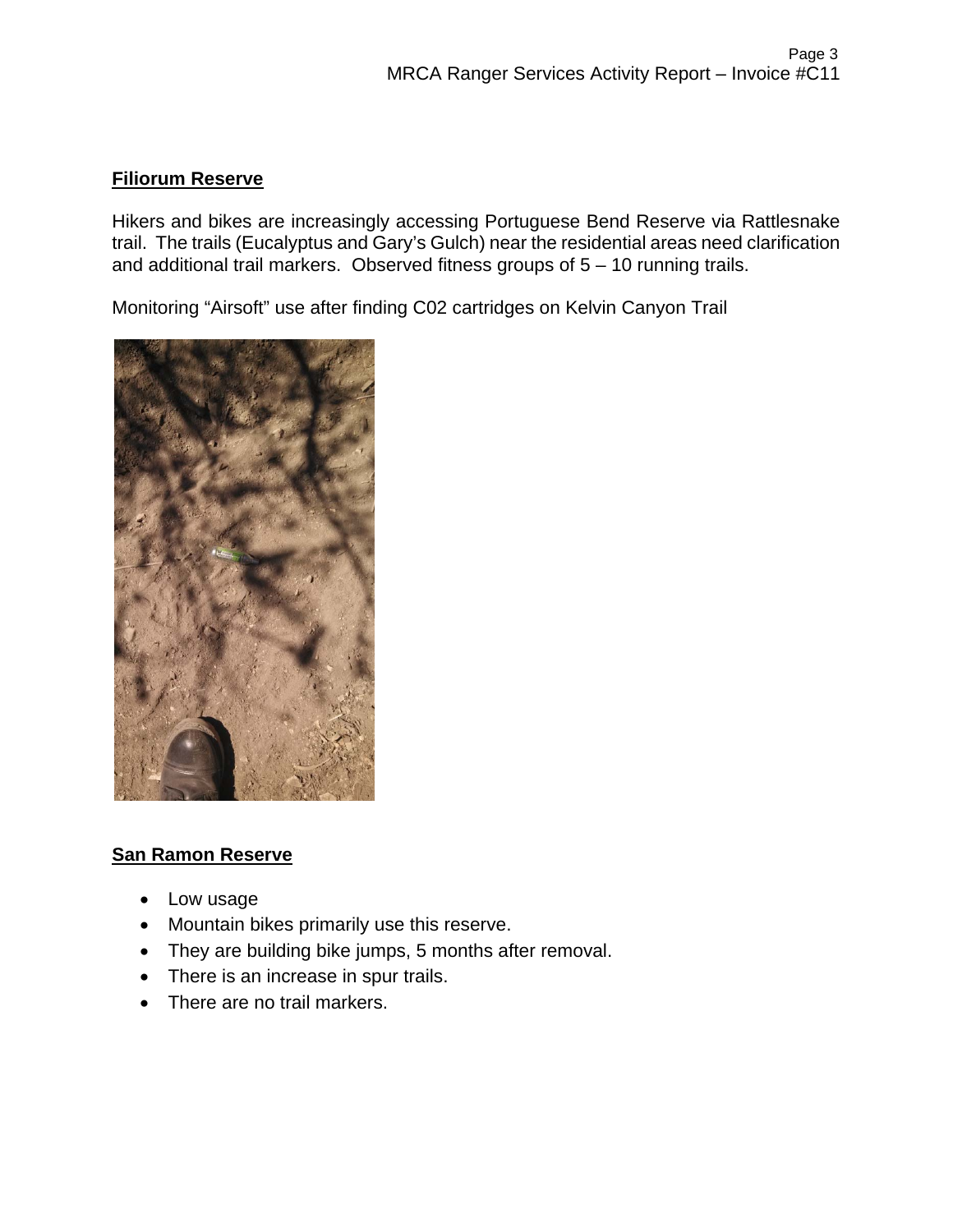### **Filiorum Reserve**

Hikers and bikes are increasingly accessing Portuguese Bend Reserve via Rattlesnake trail. The trails (Eucalyptus and Gary's Gulch) near the residential areas need clarification and additional trail markers. Observed fitness groups of 5 – 10 running trails.

Monitoring "Airsoft" use after finding C02 cartridges on Kelvin Canyon Trail



### **San Ramon Reserve**

- Low usage
- Mountain bikes primarily use this reserve.
- They are building bike jumps, 5 months after removal.
- There is an increase in spur trails.
- There are no trail markers.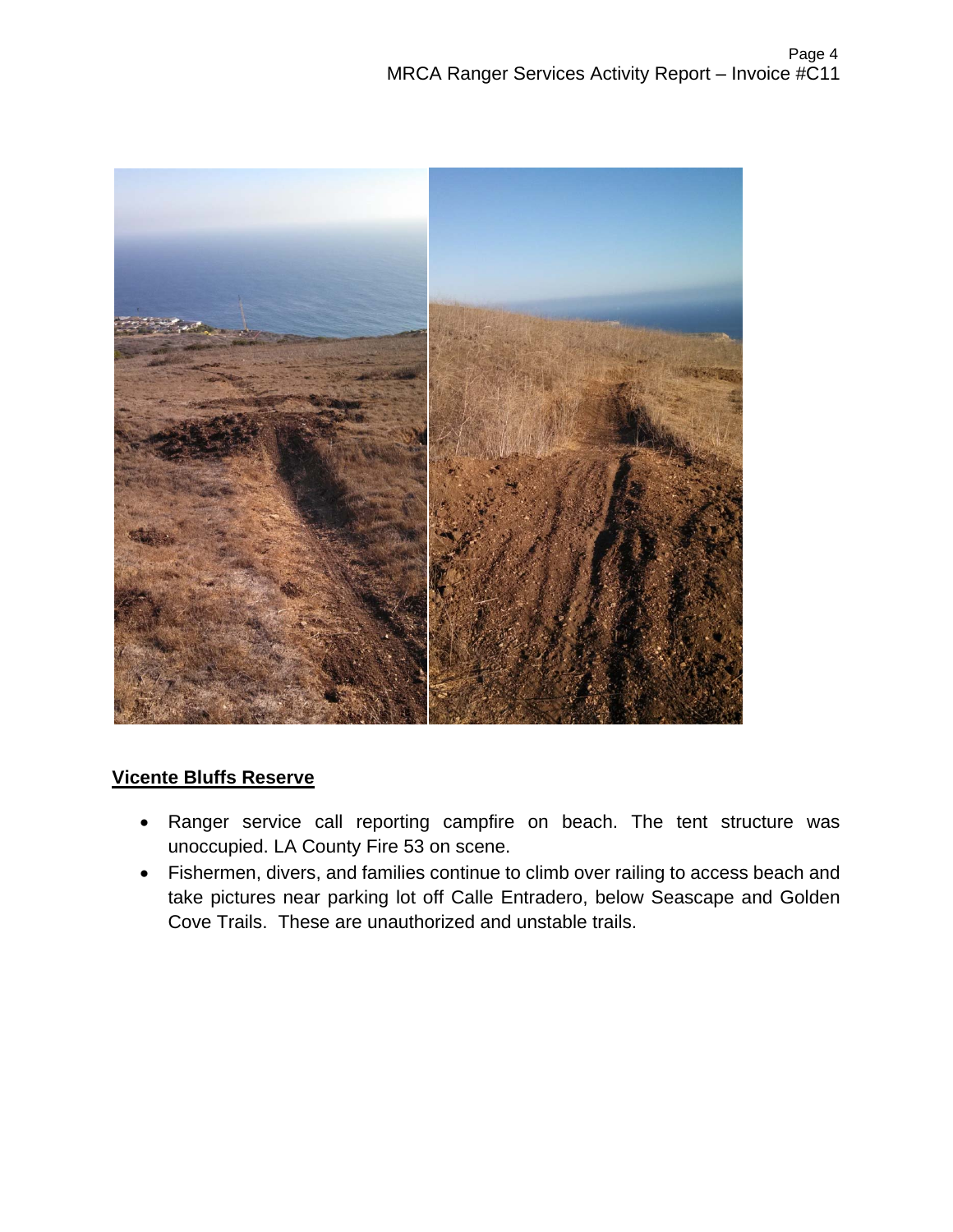

# **Vicente Bluffs Reserve**

- Ranger service call reporting campfire on beach. The tent structure was unoccupied. LA County Fire 53 on scene.
- Fishermen, divers, and families continue to climb over railing to access beach and take pictures near parking lot off Calle Entradero, below Seascape and Golden Cove Trails. These are unauthorized and unstable trails.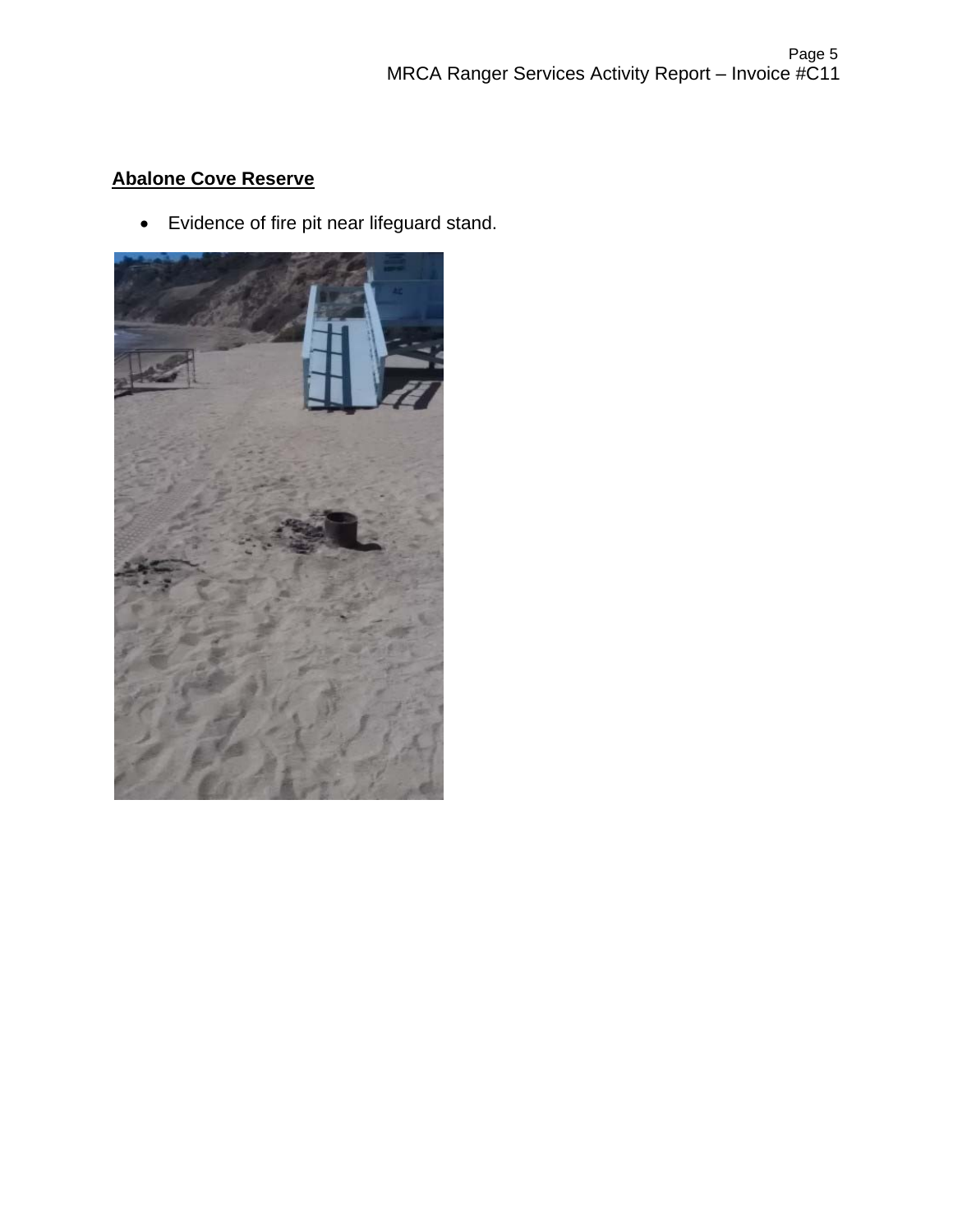# **Abalone Cove Reserve**

Evidence of fire pit near lifeguard stand.

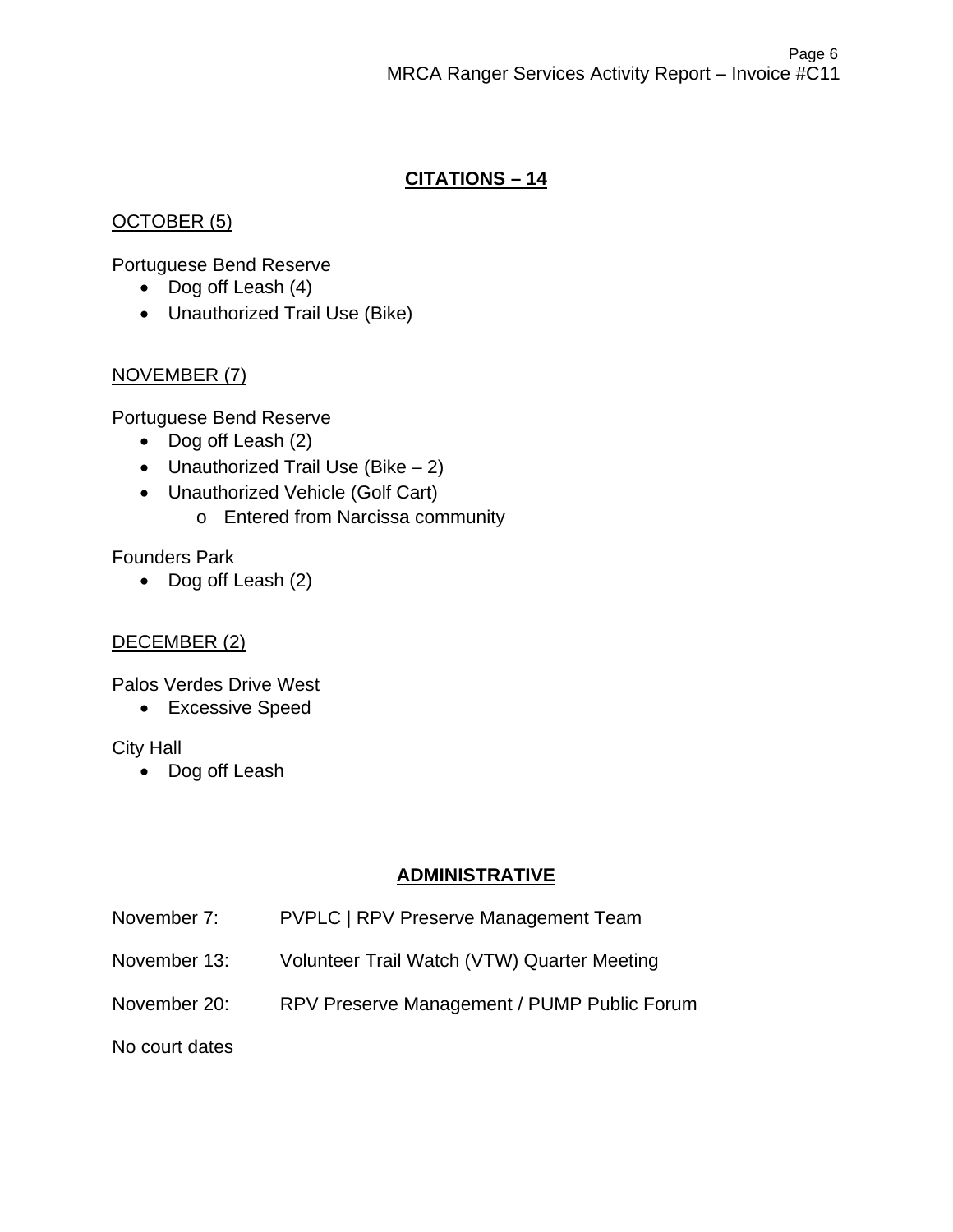# **CITATIONS – 14**

### OCTOBER (5)

Portuguese Bend Reserve

- Dog off Leash (4)
- Unauthorized Trail Use (Bike)

# NOVEMBER (7)

Portuguese Bend Reserve

- Dog off Leash (2)
- Unauthorized Trail Use (Bike  $-2$ )
- Unauthorized Vehicle (Golf Cart)
	- o Entered from Narcissa community

# Founders Park

• Dog off Leash (2)

# DECEMBER (2)

Palos Verdes Drive West

Excessive Speed

### City Hall

• Dog off Leash

# **ADMINISTRATIVE**

- November 7: PVPLC | RPV Preserve Management Team
- November 13: Volunteer Trail Watch (VTW) Quarter Meeting
- November 20: RPV Preserve Management / PUMP Public Forum

No court dates